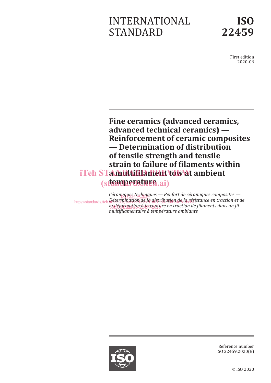# INTERNATIONAL STANDARD



First edition 2020-06

**Fine ceramics (advanced ceramics, advanced technical ceramics) — Reinforcement of ceramic composites — Determination of distribution of tensile strength and tensile strain to failure of filaments within**  iTeh STamultifilament tow at ambient (stemperature.ai)

Céramique<u>s techniq</u>ues — Renfort de céramiques composites https://standards.iteh.*ai<sup>6</sup>termination.de.la distribution.de.la résistance en traction et de* la déformation à la rupture en traction de filaments dans un fil *multifilamentaire à température ambiante*



Reference number ISO 22459:2020(E)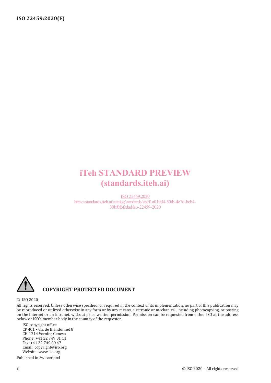# iTeh STANDARD PREVIEW (standards.iteh.ai)

ISO 22459:2020 https://standards.iteh.ai/catalog/standards/sist/f1a019d4-50fb-4e7d-bcb4- 30bf0fbfedad/iso-22459-2020



# **COPYRIGHT PROTECTED DOCUMENT**

#### © ISO 2020

All rights reserved. Unless otherwise specified, or required in the context of its implementation, no part of this publication may be reproduced or utilized otherwise in any form or by any means, electronic or mechanical, including photocopying, or posting on the internet or an intranet, without prior written permission. Permission can be requested from either ISO at the address below or ISO's member body in the country of the requester.

ISO copyright office CP 401 • Ch. de Blandonnet 8 CH-1214 Vernier, Geneva Phone: +41 22 749 01 11 Fax: +41 22 749 09 47 Email: copyright@iso.org Website: www.iso.org

Published in Switzerland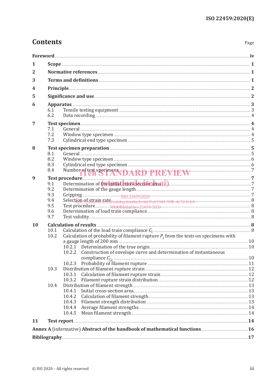Page

# **Contents**

| 1         |                                           | $Scope \underline{\hspace{1cm}} 1$                                                                                                                                   |  |
|-----------|-------------------------------------------|----------------------------------------------------------------------------------------------------------------------------------------------------------------------|--|
| 2         |                                           |                                                                                                                                                                      |  |
| 3         |                                           |                                                                                                                                                                      |  |
| 4         |                                           |                                                                                                                                                                      |  |
| 5         |                                           | Significance and use <b>Exercise and Election</b> 2                                                                                                                  |  |
| 6         |                                           | Apparatus 3                                                                                                                                                          |  |
|           | 6.1                                       |                                                                                                                                                                      |  |
|           | 6.2                                       |                                                                                                                                                                      |  |
| 7         |                                           | Test specimen <b>Election</b> 24                                                                                                                                     |  |
|           | 7.1                                       |                                                                                                                                                                      |  |
|           | 7.2                                       |                                                                                                                                                                      |  |
|           | 7.3                                       |                                                                                                                                                                      |  |
| 8         |                                           |                                                                                                                                                                      |  |
|           | 8.1                                       |                                                                                                                                                                      |  |
|           | 8.2                                       |                                                                                                                                                                      |  |
|           | 8.3                                       |                                                                                                                                                                      |  |
|           | 8.4                                       |                                                                                                                                                                      |  |
| 9         | Number of test specimens TDARD PREVIEW 77 |                                                                                                                                                                      |  |
|           | 9.1                                       | Test procedure 2000 million 2000 million 2000 million 2000 million 2000 million 2000 million 2000 million 2000<br>Determination of the faith closses ecritocale all. |  |
|           | 9.2                                       |                                                                                                                                                                      |  |
|           | 9.3                                       |                                                                                                                                                                      |  |
|           | 9.4                                       |                                                                                                                                                                      |  |
|           | 9.5                                       |                                                                                                                                                                      |  |
|           | 9.6                                       | Determination of load train compliance <b>manufacture of the contract of load</b> train compliance <b>8</b>                                                          |  |
|           | 9.7                                       |                                                                                                                                                                      |  |
|           |                                           |                                                                                                                                                                      |  |
| <b>10</b> | 10.1                                      |                                                                                                                                                                      |  |
|           | 10.2                                      |                                                                                                                                                                      |  |
|           |                                           |                                                                                                                                                                      |  |
|           |                                           |                                                                                                                                                                      |  |
|           |                                           | 10.2.2 Construction of envelope curve and determination of instantaneous                                                                                             |  |
|           |                                           |                                                                                                                                                                      |  |
|           |                                           | Probability of filament rupture <b>Election Communities</b> 21<br>10.2.3                                                                                             |  |
|           | 10.3                                      | Distribution of filament rupture strain <b>Execution</b> 22                                                                                                          |  |
|           |                                           | 10.3.1                                                                                                                                                               |  |
|           |                                           | 10.3.2                                                                                                                                                               |  |
|           | 10.4                                      |                                                                                                                                                                      |  |
|           |                                           | 10.4.1                                                                                                                                                               |  |
|           |                                           | 10.4.2                                                                                                                                                               |  |
|           |                                           | 10.4.3                                                                                                                                                               |  |
|           |                                           | 10.4.4                                                                                                                                                               |  |
|           |                                           | 10.4.5                                                                                                                                                               |  |
| 11        |                                           |                                                                                                                                                                      |  |
|           |                                           |                                                                                                                                                                      |  |
|           |                                           |                                                                                                                                                                      |  |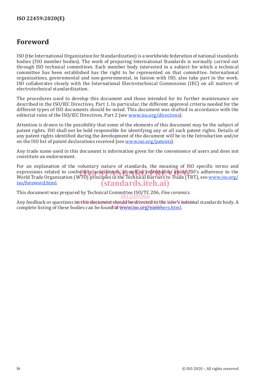# **Foreword**

ISO (the International Organization for Standardization) is a worldwide federation of national standards bodies (ISO member bodies). The work of preparing International Standards is normally carried out through ISO technical committees. Each member body interested in a subject for which a technical committee has been established has the right to be represented on that committee. International organizations, governmental and non-governmental, in liaison with ISO, also take part in the work. ISO collaborates closely with the International Electrotechnical Commission (IEC) on all matters of electrotechnical standardization.

The procedures used to develop this document and those intended for its further maintenance are described in the ISO/IEC Directives, Part 1. In particular, the different approval criteria needed for the different types of ISO documents should be noted. This document was drafted in accordance with the editorial rules of the ISO/IEC Directives, Part 2 (see www.iso.org/directives).

Attention is drawn to the possibility that some of the elements of this document may be the subject of patent rights. ISO shall not be held responsible for identifying any or all such patent rights. Details of any patent rights identified during the development of the document will be in the Introduction and/or on the ISO list of patent declarations received (see www.iso.org/patents).

Any trade name used in this document is information given for the convenience of users and does not constitute an endorsement.

For an explanation of the voluntary nature of standards, the meaning of ISO specific terms and expressions related to conformity assessment, as well as information about ISO's adherence to the<br>World Trade Organization (WTO) principles in the Technical Barriers to Trade (TBT), see www.iso.org/ World Trade Organization (WTO) principles in the Technical Barriers to Trade (TBT), see www.iso.org/ iso/foreword.html. (standards.iteh.ai)

This document was prepared by Technical Committee ISO/TC 206, *Fine ceramics*. ISO 22459:2020

Any feedback or questions om this document should be directed to the user's national standards body. A complete listing of these bodies can be found at www.iso.2145/members.html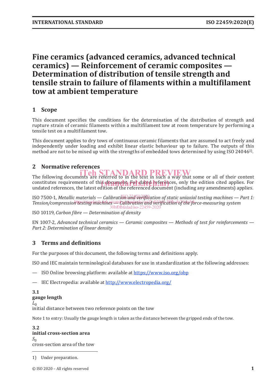# **Fine ceramics (advanced ceramics, advanced technical ceramics) — Reinforcement of ceramic composites — Determination of distribution of tensile strength and tensile strain to failure of filaments within a multifilament tow at ambient temperature**

# **1 Scope**

This document specifies the conditions for the determination of the distribution of strength and rupture strain of ceramic filaments within a multifilament tow at room temperature by performing a tensile test on a multifilament tow.

This document applies to dry tows of continuous ceramic filaments that are assumed to act freely and independently under loading and exhibit linear elastic behaviour up to failure. The outputs of this method are not to be mixed up with the strengths of embedded tows determined by using ISO 24046<sup>1</sup>.

# **2 Normative references**

# The following documents are referred to in the text in such a way that some or all of their content

constitutes requirements of this document. For dated references, only the edition cited applies. For undated references the latest edition of the referenced document (including any amendments) applies. undated references, the latest edition of the referenced document (including any amendments) applies.

ISO 7500-1, *Metallic materials* — *Calibration and verification of static uniaxial testing machines — Part 1:* Tension/compression testing machines catalogisty and verification of the force-measuring system 30bf0fbfedad/iso-22459-2020

ISO 10119, *Carbon fibre — Determination of density*

EN 1007-2, *Advanced technical ceramics — Ceramic composites — Methods of test for reinforcements — Part 2: Determination of linear density*

# **3 Terms and definitions**

For the purposes of this document, the following terms and definitions apply.

ISO and IEC maintain terminological databases for use in standardization at the following addresses:

— ISO Online browsing platform: available at https://www.iso.org/obp

— IEC Electropedia: available at http://www.electropedia.org/

#### **3.1 gauge length**

 $L_0$ 

initial distance between two reference points on the tow

Note 1 to entry: Usually the gauge length is taken as the distance between the gripped ends of the tow.

**3.2 initial cross-section area**  $S_0$ cross-section area of the tow

1) Under preparation.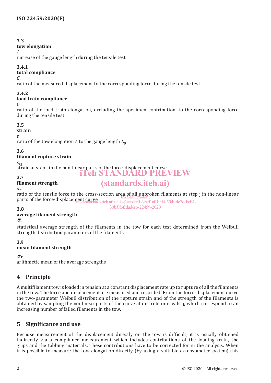## **3.3**

#### **tow elongation**

*A*

increase of the gauge length during the tensile test

### **3.4.1**

# **total compliance**

 $C_{t}$ 

ratio of the measured displacement to the corresponding force during the tensile test

**3.4.2**

# **load train compliance**

 $C<sub>1</sub>$ 

ratio of the load train elongation, excluding the specimen contribution, to the corresponding force during the tensile test

# **3.5**

**strain**

*ε*

ratio of the tow elongation *A* to the gauge length  $L_0$ 

# **3.6**

# **filament rupture strain**

*ε*r,j

strain at step j in the non-linear parts of the force-displacement curve<br>3 7

## **3.7**

# **filament strength**

 $\sigma_{\rm r,i}$ 

ratio of the tensile force to the cross-section area of all unbroken filaments at step j in the non-linear parts of the force-displacement curve <u>ISO 22459:2020</u> https://standards.iteh.ai/catalog/standards/sist/f1a019d4-50fb-4e7d-bcb4-

30bf0fbfedad/iso-22459-2020

(standards.iteh.ai)

#### **3.8 average filament strength**

 $\bar{\sigma}_{r}$ 

statistical average strength of the filaments in the tow for each test determined from the Weibull strength distribution parameters of the filaments

# **3.9**

# **mean filament strength**

 $\sigma$ <sub>r</sub>

arithmetic mean of the average strengths

# **4 Principle**

A multifilament tow is loaded in tension at a constant displacement rate up to rupture of all the filaments in the tow. The force and displacement are measured and recorded. From the force-displacement curve the two-parameter Weibull distribution of the rupture strain and of the strength of the filaments is obtained by sampling the nonlinear parts of the curve at discrete intervals, j, which correspond to an increasing number of failed filaments in the tow.

# **5 Significance and use**

Because measurement of the displacement directly on the tow is difficult, it is usually obtained indirectly via a compliance measurement which includes contributions of the loading train, the grips and the tabbing materials. These contributions have to be corrected for in the analysis. When it is possible to measure the tow elongation directly (by using a suitable extensometer system) this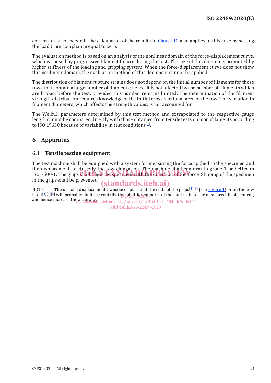correction is not needed. The calculation of the results in Clause 10 also applies in this case by setting the load train compliance equal to zero.

The evaluation method is based on an analysis of the nonlinear domain of the force-displacement curve, which is caused by progressive filament failure during the test. The size of this domain is promoted by higher stiffness of the loading and gripping system. When the force-displacement curve does not show this nonlinear domain, the evaluation method of this document cannot be applied.

The distribution of filament rupture strains does not depend on the initial number of filaments for those tows that contain a large number of filaments; hence, it is not affected by the number of filaments which are broken before the test, provided this number remains limited. The determination of the filament strength distribution requires knowledge of the initial cross-sectional area of the tow. The variation in filament diameters, which affects the strength values, is not accounted for.

The Weibull parameters determined by this test method and extrapolated to the respective gauge length cannot be compared directly with those obtained from tensile tests on monofilaments according to ISO 19630 because of variability in test conditions<sup>[1]</sup>.

## **6 Apparatus**

#### **6.1 Tensile testing equipment**

The test machine shall be equipped with a system for measuring the force applied to the specimen and the displacement, or directly the tow elongation. The machine shall conform to grade 1 or better in the displacement, or directly the tow elongation. The machine shall conform to grade 1 or better in<br>ISO 7500-1. The grips shall align the specimen with the direction of the force. Slipping of the specimen in the grips shall be prevented.

# (standards.iteh.ai)

NOTE The use of a displacement transducer placed at the ends of the grips<sup>[5][6]</sup> (see Figure 1) or on the tow itself[4][5][6] will probably limit the contribution of different parts of the load train to the measured displacement, <u>pg) of altiefend</u> i

and hence increase the accuracy. https://standards.iteh.ai/catalog/standards/sist/f1a019d4-50fb-4e7d-bcb4- 30bf0fbfedad/iso-22459-2020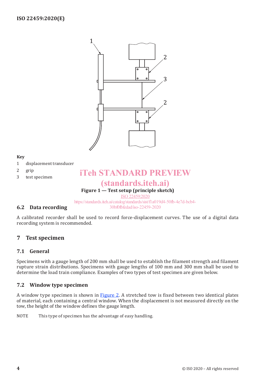

#### **Key**

- 1 displacement transducer
- 2 grip
- 3 test specimen

# **Figure 1 — Test setup (principle sketch)** iTeh STANDARD PREVIEW (standards.iteh.ai)

ISO 22459:2020

https://standards.iteh.ai/catalog/standards/sist/f1a019d4-50fb-4e7d-bcb4- 30bf0fbfedad/iso-22459-2020

### **6.2 Data recording**

A calibrated recorder shall be used to record force-displacement curves. The use of a digital data recording system is recommended.

#### **7 Test specimen**

#### **7.1 General**

Specimens with a gauge length of 200 mm shall be used to establish the filament strength and filament rupture strain distributions. Specimens with gauge lengths of 100 mm and 300 mm shall be used to determine the load train compliance. Examples of two types of test specimen are given below.

#### **7.2 Window type specimen**

A window type specimen is shown in **Figure 2**. A stretched tow is fixed between two identical plates of material, each containing a central window. When the displacement is not measured directly on the tow, the height of the window defines the gauge length.

NOTE This type of specimen has the advantage of easy handling.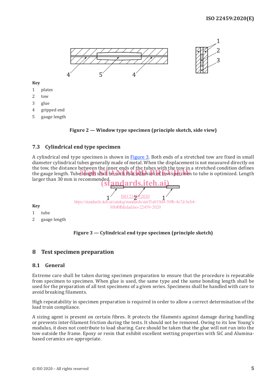

**Key**

- 1 plates
- 2 tow
- 3 glue
- 4 gripped end
- 5 gauge length



#### **7.3 Cylindrical end type specimen**

A cylindrical end type specimen is shown in Figure 3. Both ends of a stretched tow are fixed in small diameter cylindrical tubes generally made of metal. When the displacement is not measured directly on the tow, the distance between the inner ends of the tubes with the tow in a stretched condition defines the tow, the uistance between the filler ends of the tubes with the tow hi a stretched condition defines<br>the gauge length. Tube length shall be such that adhesion of tow specimen to tube is optimized. Length larger than 30 mm is recommended.



**Key**

- 1 tube
- 2 gauge length



#### **8 Test specimen preparation**

#### **8.1 General**

Extreme care shall be taken during specimen preparation to ensure that the procedure is repeatable from specimen to specimen. When glue is used, the same type and the same bonding length shall be used for the preparation of all test specimens of a given series. Specimens shall be handled with care to avoid breaking filaments.

High repeatability in specimen preparation is required in order to allow a correct determination of the load train compliance.

A sizing agent is present on certain fibres. It protects the filaments against damage during handling or prevents inter-filament friction during the tests. It should not be removed. Owing to its low Young's modulus, it does not contribute to load sharing. Care should be taken that the glue will not run into the tow outside the frame. Epoxy or resin that exhibit excellent wetting properties with SiC and Aluminabased ceramics are appropriate.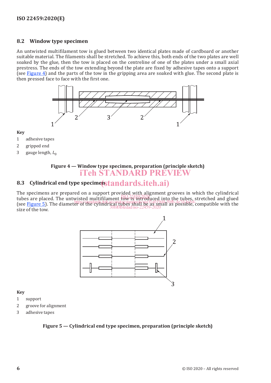#### **8.2 Window type specimen**

An untwisted multifilament tow is glued between two identical plates made of cardboard or another suitable material. The filaments shall be stretched. To achieve this, both ends of the two plates are well soaked by the glue, then the tow is placed on the centreline of one of the plates under a small axial prestress. The ends of the tow extending beyond the plate are fixed by adhesive tapes onto a support (see Figure 4) and the parts of the tow in the gripping area are soaked with glue. The second plate is then pressed face to face with the first one.



#### **Key**

- 1 adhesive tapes
- 2 gripped end
- 3 gauge length, *L*<sup>0</sup>

#### **Figure 4 — Window type specimen, preparation (principle sketch)** iTeh STANDARD PREVIEW

# 8.3 Cylindrical end type specimens tandards.iteh.ai)

The specimens are prepared on a support provided with alignment grooves in which the cylindrical tubes are placed. The untwisted multifilament tow is introduced into the tubes, stretched and glued tubes are placed. The untwisted multifilament tow is introduced into the tubes, stretched and glued tubes are placed. The diameter of the cylindrical tubes shall be as small as possible, compatible with the standards. The diameter of the cylindrical tubes shall be as small as possible, compatible with the size of the tow. 30bf0fbfedad/iso-22459-2020



#### **Key**

- 1 support
- 2 groove for alignment
- 3 adhesive tapes

#### **Figure 5 — Cylindrical end type specimen, preparation (principle sketch)**